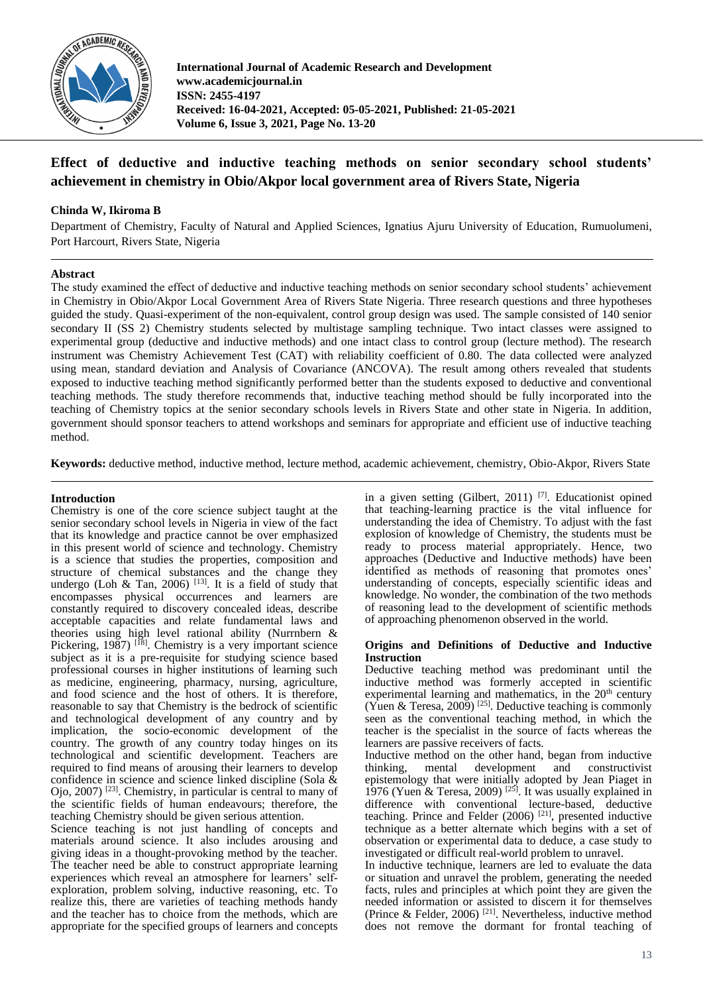

**International Journal of Academic Research and Development www.academicjournal.in ISSN: 2455-4197 Received: 16-04-2021, Accepted: 05-05-2021, Published: 21-05-2021 Volume 6, Issue 3, 2021, Page No. 13-20**

# **Effect of deductive and inductive teaching methods on senior secondary school students' achievement in chemistry in Obio/Akpor local government area of Rivers State, Nigeria**

# **Chinda W, Ikiroma B**

Department of Chemistry, Faculty of Natural and Applied Sciences, Ignatius Ajuru University of Education, Rumuolumeni, Port Harcourt, Rivers State, Nigeria

# **Abstract**

The study examined the effect of deductive and inductive teaching methods on senior secondary school students' achievement in Chemistry in Obio/Akpor Local Government Area of Rivers State Nigeria. Three research questions and three hypotheses guided the study. Quasi-experiment of the non-equivalent, control group design was used. The sample consisted of 140 senior secondary II (SS 2) Chemistry students selected by multistage sampling technique. Two intact classes were assigned to experimental group (deductive and inductive methods) and one intact class to control group (lecture method). The research instrument was Chemistry Achievement Test (CAT) with reliability coefficient of 0.80. The data collected were analyzed using mean, standard deviation and Analysis of Covariance (ANCOVA). The result among others revealed that students exposed to inductive teaching method significantly performed better than the students exposed to deductive and conventional teaching methods. The study therefore recommends that, inductive teaching method should be fully incorporated into the teaching of Chemistry topics at the senior secondary schools levels in Rivers State and other state in Nigeria. In addition, government should sponsor teachers to attend workshops and seminars for appropriate and efficient use of inductive teaching method.

**Keywords:** deductive method, inductive method, lecture method, academic achievement, chemistry, Obio-Akpor, Rivers State

### **Introduction**

Chemistry is one of the core science subject taught at the senior secondary school levels in Nigeria in view of the fact that its knowledge and practice cannot be over emphasized in this present world of science and technology. Chemistry is a science that studies the properties, composition and structure of chemical substances and the change they undergo (Loh & Tan, 2006)  $[13]$ . It is a field of study that encompasses physical occurrences and learners are constantly required to discovery concealed ideas, describe acceptable capacities and relate fundamental laws and theories using high level rational ability (Nurrnbern & Pickering,  $1987$ ) [<sup>18]</sup>. Chemistry is a very important science subject as it is a pre-requisite for studying science based professional courses in higher institutions of learning such as medicine, engineering, pharmacy, nursing, agriculture, and food science and the host of others. It is therefore, reasonable to say that Chemistry is the bedrock of scientific and technological development of any country and by implication, the socio-economic development of the country. The growth of any country today hinges on its technological and scientific development. Teachers are required to find means of arousing their learners to develop confidence in science and science linked discipline (Sola & Ojo, 2007) [23] . Chemistry, in particular is central to many of the scientific fields of human endeavours; therefore, the teaching Chemistry should be given serious attention.

Science teaching is not just handling of concepts and materials around science. It also includes arousing and giving ideas in a thought-provoking method by the teacher. The teacher need be able to construct appropriate learning experiences which reveal an atmosphere for learners' selfexploration, problem solving, inductive reasoning, etc. To realize this, there are varieties of teaching methods handy and the teacher has to choice from the methods, which are appropriate for the specified groups of learners and concepts

in a given setting (Gilbert, 2011)<sup>[7]</sup>. Educationist opined that teaching-learning practice is the vital influence for understanding the idea of Chemistry. To adjust with the fast explosion of knowledge of Chemistry, the students must be ready to process material appropriately. Hence, two approaches (Deductive and Inductive methods) have been identified as methods of reasoning that promotes ones' understanding of concepts, especially scientific ideas and knowledge. No wonder, the combination of the two methods of reasoning lead to the development of scientific methods of approaching phenomenon observed in the world.

### **Origins and Definitions of Deductive and Inductive Instruction**

Deductive teaching method was predominant until the inductive method was formerly accepted in scientific experimental learning and mathematics, in the  $20<sup>th</sup>$  century (Yuen & Teresa, 2009)<sup>[25]</sup>. Deductive teaching is commonly seen as the conventional teaching method, in which the teacher is the specialist in the source of facts whereas the learners are passive receivers of facts.

Inductive method on the other hand, began from inductive thinking, mental development and constructivist epistemology that were initially adopted by Jean Piaget in 1976 (Yuen & Teresa, 2009)<sup>[25]</sup>. It was usually explained in difference with conventional lecture-based, deductive teaching. Prince and Felder  $(2006)$ <sup>[21]</sup>, presented inductive technique as a better alternate which begins with a set of observation or experimental data to deduce, a case study to investigated or difficult real-world problem to unravel.

In inductive technique, learners are led to evaluate the data or situation and unravel the problem, generating the needed facts, rules and principles at which point they are given the needed information or assisted to discern it for themselves (Prince & Felder, 2006) [21] . Nevertheless, inductive method does not remove the dormant for frontal teaching of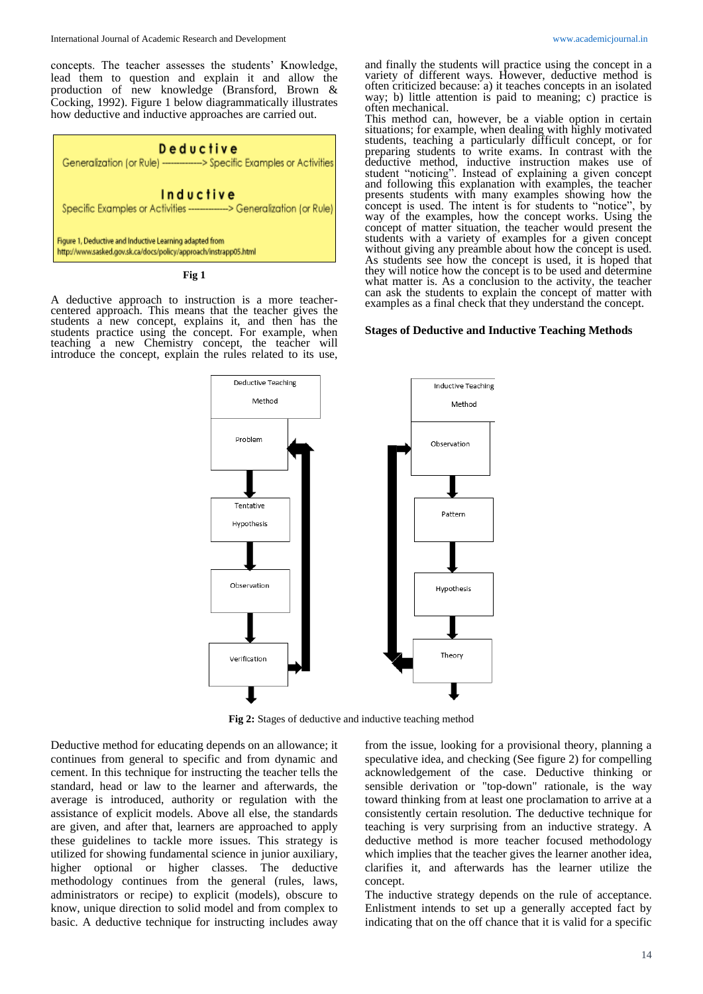concepts. The teacher assesses the students' Knowledge, lead them to question and explain it and allow the production of new knowledge (Bransford, Brown & Cocking, 1992). Figure 1 below diagrammatically illustrates how deductive and inductive approaches are carried out.



#### **Fig 1**

A deductive approach to instruction is a more teachercentered approach. This means that the teacher gives the students a new concept, explains it, and then has the students practice using the concept. For example, when teaching a new Chemistry concept, the teacher will introduce the concept, explain the rules related to its use,

and finally the students will practice using the concept in a variety of different ways. However, deductive method is often criticized because: a) it teaches concepts in an isolated way; b) little attention is paid to meaning; c) practice is often mechanical.

This method can, however, be a viable option in certain situations; for example, when dealing with highly motivated students, teaching a particularly difficult concept, or for preparing students to write exams. In contrast with the deductive method, inductive instruction makes use of student "noticing". Instead of explaining a given concept and following this explanation with examples, the teacher presents students with many examples showing how the concept is used. The intent is for students to "notice", by way of the examples, how the concept works. Using the concept of matter situation, the teacher would present the students with a variety of examples for a given concept without giving any preamble about how the concept is used. As students see how the concept is used, it is hoped that they will notice how the concept is to be used and determine what matter is. As a conclusion to the activity, the teacher can ask the students to explain the concept of matter with examples as a final check that they understand the concept.

#### **Stages of Deductive and Inductive Teaching Methods**



**Fig 2:** Stages of deductive and inductive teaching method

Deductive method for educating depends on an allowance; it continues from general to specific and from dynamic and cement. In this technique for instructing the teacher tells the standard, head or law to the learner and afterwards, the average is introduced, authority or regulation with the assistance of explicit models. Above all else, the standards are given, and after that, learners are approached to apply these guidelines to tackle more issues. This strategy is utilized for showing fundamental science in junior auxiliary, higher optional or higher classes. The deductive methodology continues from the general (rules, laws, administrators or recipe) to explicit (models), obscure to know, unique direction to solid model and from complex to basic. A deductive technique for instructing includes away

from the issue, looking for a provisional theory, planning a speculative idea, and checking (See figure 2) for compelling acknowledgement of the case. Deductive thinking or sensible derivation or "top-down" rationale, is the way toward thinking from at least one proclamation to arrive at a consistently certain resolution. The deductive technique for teaching is very surprising from an inductive strategy. A deductive method is more teacher focused methodology which implies that the teacher gives the learner another idea, clarifies it, and afterwards has the learner utilize the concept.

The inductive strategy depends on the rule of acceptance. Enlistment intends to set up a generally accepted fact by indicating that on the off chance that it is valid for a specific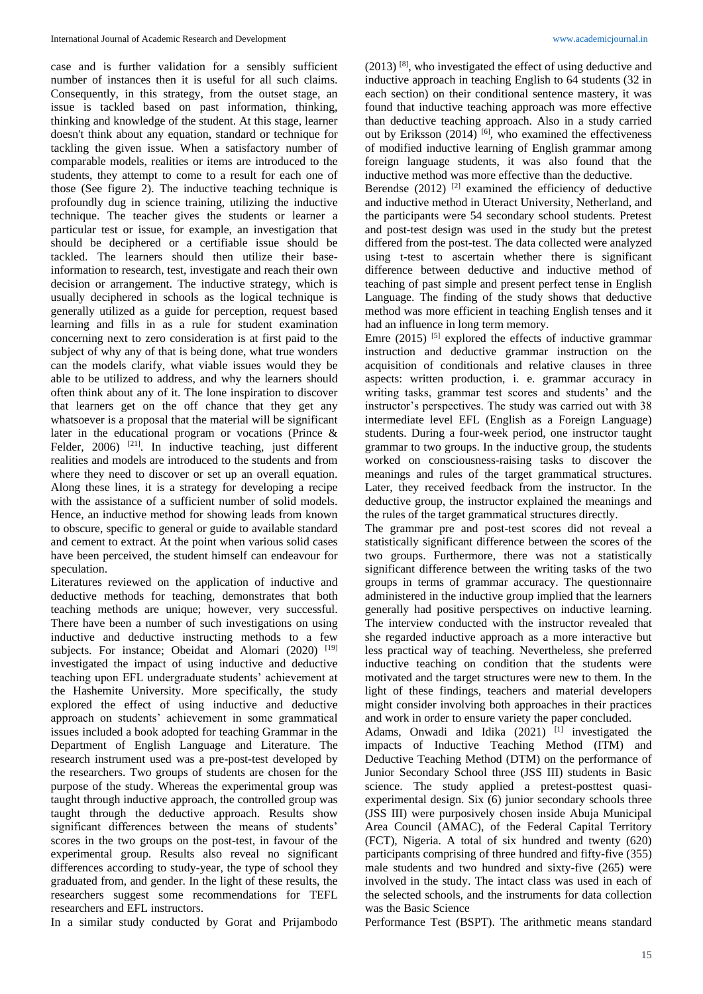case and is further validation for a sensibly sufficient number of instances then it is useful for all such claims. Consequently, in this strategy, from the outset stage, an issue is tackled based on past information, thinking, thinking and knowledge of the student. At this stage, learner doesn't think about any equation, standard or technique for tackling the given issue. When a satisfactory number of comparable models, realities or items are introduced to the students, they attempt to come to a result for each one of those (See figure 2). The inductive teaching technique is profoundly dug in science training, utilizing the inductive technique. The teacher gives the students or learner a particular test or issue, for example, an investigation that should be deciphered or a certifiable issue should be tackled. The learners should then utilize their baseinformation to research, test, investigate and reach their own decision or arrangement. The inductive strategy, which is usually deciphered in schools as the logical technique is generally utilized as a guide for perception, request based learning and fills in as a rule for student examination concerning next to zero consideration is at first paid to the subject of why any of that is being done, what true wonders can the models clarify, what viable issues would they be able to be utilized to address, and why the learners should often think about any of it. The lone inspiration to discover that learners get on the off chance that they get any whatsoever is a proposal that the material will be significant later in the educational program or vocations (Prince & Felder,  $2006$ ) <sup>[21]</sup>. In inductive teaching, just different realities and models are introduced to the students and from where they need to discover or set up an overall equation. Along these lines, it is a strategy for developing a recipe with the assistance of a sufficient number of solid models. Hence, an inductive method for showing leads from known to obscure, specific to general or guide to available standard and cement to extract. At the point when various solid cases have been perceived, the student himself can endeavour for speculation.

Literatures reviewed on the application of inductive and deductive methods for teaching, demonstrates that both teaching methods are unique; however, very successful. There have been a number of such investigations on using inductive and deductive instructing methods to a few subjects. For instance; Obeidat and Alomari (2020) [19] investigated the impact of using inductive and deductive teaching upon EFL undergraduate students' achievement at the Hashemite University. More specifically, the study explored the effect of using inductive and deductive approach on students' achievement in some grammatical issues included a book adopted for teaching Grammar in the Department of English Language and Literature. The research instrument used was a pre-post-test developed by the researchers. Two groups of students are chosen for the purpose of the study. Whereas the experimental group was taught through inductive approach, the controlled group was taught through the deductive approach. Results show significant differences between the means of students' scores in the two groups on the post-test, in favour of the experimental group. Results also reveal no significant differences according to study-year, the type of school they graduated from, and gender. In the light of these results, the researchers suggest some recommendations for TEFL researchers and EFL instructors.

In a similar study conducted by Gorat and Prijambodo

(2013) [8] , who investigated the effect of using deductive and inductive approach in teaching English to 64 students (32 in each section) on their conditional sentence mastery, it was found that inductive teaching approach was more effective than deductive teaching approach. Also in a study carried out by Eriksson (2014)<sup>[6]</sup>, who examined the effectiveness of modified inductive learning of English grammar among foreign language students, it was also found that the inductive method was more effective than the deductive.

Berendse  $(2012)$ <sup>[2]</sup> examined the efficiency of deductive and inductive method in Uteract University, Netherland, and the participants were 54 secondary school students. Pretest and post-test design was used in the study but the pretest differed from the post-test. The data collected were analyzed using t-test to ascertain whether there is significant difference between deductive and inductive method of teaching of past simple and present perfect tense in English Language. The finding of the study shows that deductive method was more efficient in teaching English tenses and it had an influence in long term memory.

Emre  $(2015)$ <sup>[5]</sup> explored the effects of inductive grammar instruction and deductive grammar instruction on the acquisition of conditionals and relative clauses in three aspects: written production, i. e. grammar accuracy in writing tasks, grammar test scores and students' and the instructor's perspectives. The study was carried out with 38 intermediate level EFL (English as a Foreign Language) students. During a four-week period, one instructor taught grammar to two groups. In the inductive group, the students worked on consciousness-raising tasks to discover the meanings and rules of the target grammatical structures. Later, they received feedback from the instructor. In the deductive group, the instructor explained the meanings and the rules of the target grammatical structures directly.

The grammar pre and post-test scores did not reveal a statistically significant difference between the scores of the two groups. Furthermore, there was not a statistically significant difference between the writing tasks of the two groups in terms of grammar accuracy. The questionnaire administered in the inductive group implied that the learners generally had positive perspectives on inductive learning. The interview conducted with the instructor revealed that she regarded inductive approach as a more interactive but less practical way of teaching. Nevertheless, she preferred inductive teaching on condition that the students were motivated and the target structures were new to them. In the light of these findings, teachers and material developers might consider involving both approaches in their practices and work in order to ensure variety the paper concluded.

Adams, Onwadi and Idika  $(2021)$ <sup>[1]</sup> investigated the impacts of Inductive Teaching Method (ITM) and Deductive Teaching Method (DTM) on the performance of Junior Secondary School three (JSS III) students in Basic science. The study applied a pretest-posttest quasiexperimental design. Six (6) junior secondary schools three (JSS III) were purposively chosen inside Abuja Municipal Area Council (AMAC), of the Federal Capital Territory (FCT), Nigeria. A total of six hundred and twenty (620) participants comprising of three hundred and fifty-five (355) male students and two hundred and sixty-five (265) were involved in the study. The intact class was used in each of the selected schools, and the instruments for data collection was the Basic Science

Performance Test (BSPT). The arithmetic means standard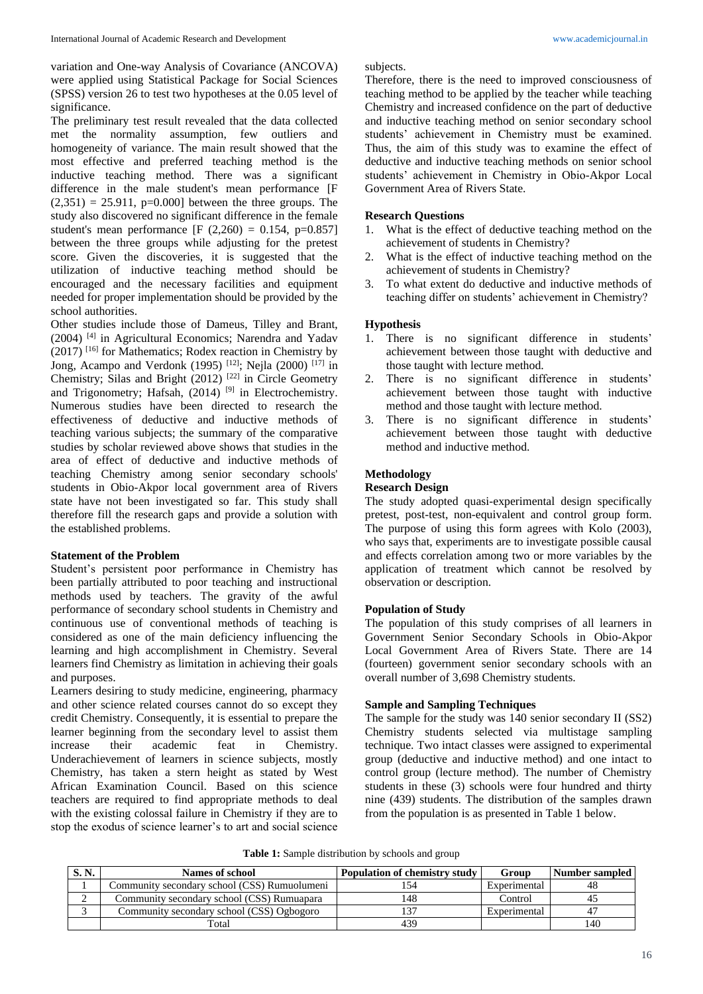variation and One-way Analysis of Covariance (ANCOVA) were applied using Statistical Package for Social Sciences (SPSS) version 26 to test two hypotheses at the 0.05 level of significance.

The preliminary test result revealed that the data collected met the normality assumption, few outliers and homogeneity of variance. The main result showed that the most effective and preferred teaching method is the inductive teaching method. There was a significant difference in the male student's mean performance [F  $(2,351) = 25.911$ , p=0.000] between the three groups. The study also discovered no significant difference in the female student's mean performance [F  $(2,260) = 0.154$ , p=0.857] between the three groups while adjusting for the pretest score. Given the discoveries, it is suggested that the utilization of inductive teaching method should be encouraged and the necessary facilities and equipment needed for proper implementation should be provided by the school authorities.

Other studies include those of Dameus, Tilley and Brant, (2004) [4] in Agricultural Economics; Narendra and Yadav  $(2017)$ <sup>[16]</sup> for Mathematics; Rodex reaction in Chemistry by Jong, Acampo and Verdonk (1995)<sup>[12]</sup>; Nejla (2000)<sup>[17]</sup> in Chemistry; Silas and Bright (2012)<sup>[22]</sup> in Circle Geometry and Trigonometry; Hafsah,  $(2014)$ <sup>[9]</sup> in Electrochemistry. Numerous studies have been directed to research the effectiveness of deductive and inductive methods of teaching various subjects; the summary of the comparative studies by scholar reviewed above shows that studies in the area of effect of deductive and inductive methods of teaching Chemistry among senior secondary schools' students in Obio-Akpor local government area of Rivers state have not been investigated so far. This study shall therefore fill the research gaps and provide a solution with the established problems.

### **Statement of the Problem**

Student's persistent poor performance in Chemistry has been partially attributed to poor teaching and instructional methods used by teachers. The gravity of the awful performance of secondary school students in Chemistry and continuous use of conventional methods of teaching is considered as one of the main deficiency influencing the learning and high accomplishment in Chemistry. Several learners find Chemistry as limitation in achieving their goals and purposes.

Learners desiring to study medicine, engineering, pharmacy and other science related courses cannot do so except they credit Chemistry. Consequently, it is essential to prepare the learner beginning from the secondary level to assist them increase their academic feat in Chemistry. Underachievement of learners in science subjects, mostly Chemistry, has taken a stern height as stated by West African Examination Council. Based on this science teachers are required to find appropriate methods to deal with the existing colossal failure in Chemistry if they are to stop the exodus of science learner's to art and social science subjects.

Therefore, there is the need to improved consciousness of teaching method to be applied by the teacher while teaching Chemistry and increased confidence on the part of deductive and inductive teaching method on senior secondary school students' achievement in Chemistry must be examined. Thus, the aim of this study was to examine the effect of deductive and inductive teaching methods on senior school students' achievement in Chemistry in Obio-Akpor Local Government Area of Rivers State.

# **Research Questions**

- 1. What is the effect of deductive teaching method on the achievement of students in Chemistry?
- 2. What is the effect of inductive teaching method on the achievement of students in Chemistry?
- 3. To what extent do deductive and inductive methods of teaching differ on students' achievement in Chemistry?

#### **Hypothesis**

- 1. There is no significant difference in students' achievement between those taught with deductive and those taught with lecture method.
- 2. There is no significant difference in students' achievement between those taught with inductive method and those taught with lecture method.
- 3. There is no significant difference in students' achievement between those taught with deductive method and inductive method.

# **Methodology**

## **Research Design**

The study adopted quasi-experimental design specifically pretest, post-test, non-equivalent and control group form. The purpose of using this form agrees with Kolo (2003), who says that, experiments are to investigate possible causal and effects correlation among two or more variables by the application of treatment which cannot be resolved by observation or description.

### **Population of Study**

The population of this study comprises of all learners in Government Senior Secondary Schools in Obio-Akpor Local Government Area of Rivers State. There are 14 (fourteen) government senior secondary schools with an overall number of 3,698 Chemistry students.

# **Sample and Sampling Techniques**

The sample for the study was 140 senior secondary II (SS2) Chemistry students selected via multistage sampling technique. Two intact classes were assigned to experimental group (deductive and inductive method) and one intact to control group (lecture method). The number of Chemistry students in these (3) schools were four hundred and thirty nine (439) students. The distribution of the samples drawn from the population is as presented in Table 1 below.

|  |  | Table 1: Sample distribution by schools and group |  |  |  |  |
|--|--|---------------------------------------------------|--|--|--|--|
|--|--|---------------------------------------------------|--|--|--|--|

| S. N. | <b>Names of school</b>                       | <b>Population of chemistry study</b> | Group        | Number sampled |
|-------|----------------------------------------------|--------------------------------------|--------------|----------------|
|       | Community secondary school (CSS) Rumuolumeni |                                      | Experimental |                |
|       | Community secondary school (CSS) Rumuapara   | 48ء                                  | Control      |                |
|       | Community secondary school (CSS) Ogbogoro    |                                      | Experimental |                |
|       | Total                                        | 439                                  |              | 140            |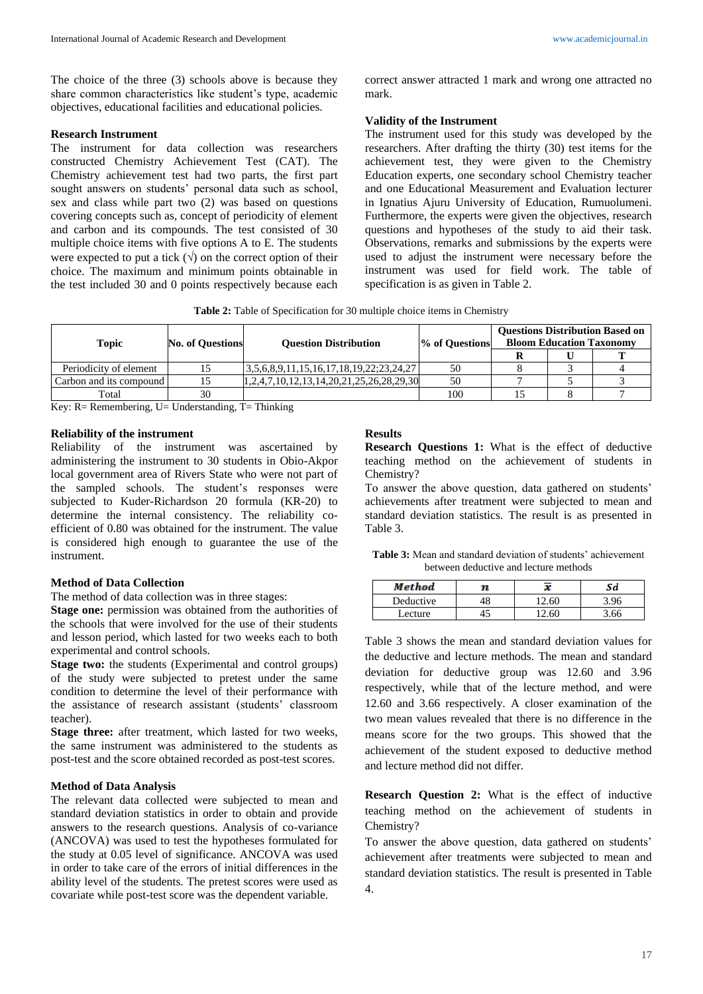The choice of the three (3) schools above is because they share common characteristics like student's type, academic objectives, educational facilities and educational policies.

# **Research Instrument**

The instrument for data collection was researchers constructed Chemistry Achievement Test (CAT). The Chemistry achievement test had two parts, the first part sought answers on students' personal data such as school, sex and class while part two (2) was based on questions covering concepts such as, concept of periodicity of element and carbon and its compounds. The test consisted of 30 multiple choice items with five options A to E. The students were expected to put a tick  $(\sqrt{})$  on the correct option of their choice. The maximum and minimum points obtainable in the test included 30 and 0 points respectively because each

correct answer attracted 1 mark and wrong one attracted no mark.

#### **Validity of the Instrument**

The instrument used for this study was developed by the researchers. After drafting the thirty (30) test items for the achievement test, they were given to the Chemistry Education experts, one secondary school Chemistry teacher and one Educational Measurement and Evaluation lecturer in Ignatius Ajuru University of Education, Rumuolumeni. Furthermore, the experts were given the objectives, research questions and hypotheses of the study to aid their task. Observations, remarks and submissions by the experts were used to adjust the instrument were necessary before the instrument was used for field work. The table of specification is as given in Table 2.

|  |  |  |  |  |  |  |  | Table 2: Table of Specification for 30 multiple choice items in Chemistry |
|--|--|--|--|--|--|--|--|---------------------------------------------------------------------------|
|--|--|--|--|--|--|--|--|---------------------------------------------------------------------------|

| <b>Topic</b>            | <b>No. of Questions</b> | <b>Ouestion Distribution</b>                           | % of Questions | <b>Bloom Education Taxonomy</b> | <b>Ouestions Distribution Based on</b> |
|-------------------------|-------------------------|--------------------------------------------------------|----------------|---------------------------------|----------------------------------------|
|                         |                         |                                                        |                |                                 |                                        |
| Periodicity of element  |                         | $\left[3,5,6,8,9,11,15,16,17,18,19,22;23,24,27\right]$ | 50             |                                 |                                        |
| Carbon and its compound |                         | $[1,2,4,7,10,12,13,14,20,21,25,26,28,29,30]$           | 50             |                                 |                                        |
| Total                   | 30                      |                                                        | 100            |                                 |                                        |

Key:  $R$  = Remembering,  $U=$  Understanding,  $T=$  Thinking

### **Reliability of the instrument**

Reliability of the instrument was ascertained by administering the instrument to 30 students in Obio-Akpor local government area of Rivers State who were not part of the sampled schools. The student's responses were subjected to Kuder-Richardson 20 formula (KR-20) to determine the internal consistency. The reliability coefficient of 0.80 was obtained for the instrument. The value is considered high enough to guarantee the use of the instrument.

#### **Method of Data Collection**

The method of data collection was in three stages:

**Stage one:** permission was obtained from the authorities of the schools that were involved for the use of their students and lesson period, which lasted for two weeks each to both experimental and control schools.

**Stage two:** the students (Experimental and control groups) of the study were subjected to pretest under the same condition to determine the level of their performance with the assistance of research assistant (students' classroom teacher).

**Stage three:** after treatment, which lasted for two weeks, the same instrument was administered to the students as post-test and the score obtained recorded as post-test scores.

#### **Method of Data Analysis**

The relevant data collected were subjected to mean and standard deviation statistics in order to obtain and provide answers to the research questions. Analysis of co-variance (ANCOVA) was used to test the hypotheses formulated for the study at 0.05 level of significance. ANCOVA was used in order to take care of the errors of initial differences in the ability level of the students. The pretest scores were used as covariate while post-test score was the dependent variable.

### **Results**

**Research Questions 1:** What is the effect of deductive teaching method on the achievement of students in Chemistry?

To answer the above question, data gathered on students' achievements after treatment were subjected to mean and standard deviation statistics. The result is as presented in Table 3.

**Table 3:** Mean and standard deviation of students' achievement between deductive and lecture methods

| <b>Method</b> | v     | Sd   |
|---------------|-------|------|
| Deductive     | 12.60 | 3 ዓ6 |
| Lecture       | 12 60 | 5.66 |

Table 3 shows the mean and standard deviation values for the deductive and lecture methods. The mean and standard deviation for deductive group was 12.60 and 3.96 respectively, while that of the lecture method, and were 12.60 and 3.66 respectively. A closer examination of the two mean values revealed that there is no difference in the means score for the two groups. This showed that the achievement of the student exposed to deductive method and lecture method did not differ.

**Research Question 2:** What is the effect of inductive teaching method on the achievement of students in Chemistry?

To answer the above question, data gathered on students' achievement after treatments were subjected to mean and standard deviation statistics. The result is presented in Table 4.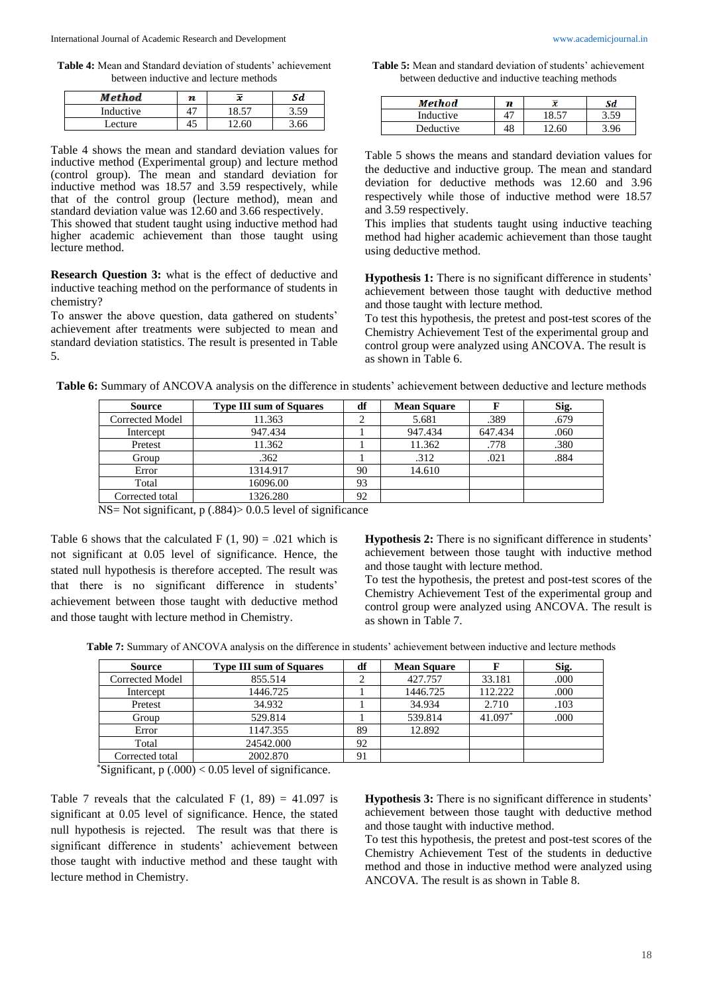**Table 4:** Mean and Standard deviation of students' achievement between inductive and lecture methods

| Method    | n  | x     | Sd          |
|-----------|----|-------|-------------|
| Inductive | Δ΄ | 18.57 | $5.5^\circ$ |
| ecture    |    | 60    | .66         |

Table 4 shows the mean and standard deviation values for inductive method (Experimental group) and lecture method (control group). The mean and standard deviation for inductive method was 18.57 and 3.59 respectively, while that of the control group (lecture method), mean and standard deviation value was 12.60 and 3.66 respectively.

This showed that student taught using inductive method had higher academic achievement than those taught using lecture method.

**Research Question 3:** what is the effect of deductive and inductive teaching method on the performance of students in chemistry?

To answer the above question, data gathered on students' achievement after treatments were subjected to mean and standard deviation statistics. The result is presented in Table 5.

**Table 5:** Mean and standard deviation of students' achievement between deductive and inductive teaching methods

| Method    | n |       | Sd  |
|-----------|---|-------|-----|
| Inductive |   | 18.57 |     |
| Deductive |   | 12.60 | ۔96 |

Table 5 shows the means and standard deviation values for the deductive and inductive group. The mean and standard deviation for deductive methods was 12.60 and 3.96 respectively while those of inductive method were 18.57 and 3.59 respectively.

This implies that students taught using inductive teaching method had higher academic achievement than those taught using deductive method.

**Hypothesis 1:** There is no significant difference in students' achievement between those taught with deductive method and those taught with lecture method.

To test this hypothesis, the pretest and post-test scores of the Chemistry Achievement Test of the experimental group and control group were analyzed using ANCOVA. The result is as shown in Table 6.

| <b>Source</b>   | <b>Type III sum of Squares</b> | df | <b>Mean Square</b> |         | Sig. |
|-----------------|--------------------------------|----|--------------------|---------|------|
| Corrected Model | 11.363                         |    | 5.681              | .389    | .679 |
| Intercept       | 947.434                        |    | 947.434            | 647.434 | .060 |
| Pretest         | 11.362                         |    | 11.362             | .778    | .380 |
| Group           | .362                           |    | .312               | .021    | .884 |
| Error           | 1314.917                       | 90 | 14.610             |         |      |
| Total           | 16096.00                       | 93 |                    |         |      |
| Corrected total | 1326.280                       | 92 |                    |         |      |

**Table 6:** Summary of ANCOVA analysis on the difference in students' achievement between deductive and lecture methods

NS= Not significant, p (.884)> 0.0.5 level of significance

Table 6 shows that the calculated F  $(1, 90) = .021$  which is not significant at 0.05 level of significance. Hence, the stated null hypothesis is therefore accepted. The result was that there is no significant difference in students' achievement between those taught with deductive method and those taught with lecture method in Chemistry.

**Hypothesis 2:** There is no significant difference in students' achievement between those taught with inductive method and those taught with lecture method.

To test the hypothesis, the pretest and post-test scores of the Chemistry Achievement Test of the experimental group and control group were analyzed using ANCOVA. The result is as shown in Table 7.

**Table 7:** Summary of ANCOVA analysis on the difference in students' achievement between inductive and lecture methods

| <b>Source</b>   | <b>Type III sum of Squares</b> | df | <b>Mean Square</b> |           | Sig. |
|-----------------|--------------------------------|----|--------------------|-----------|------|
| Corrected Model | 855.514                        |    | 427.757            | 33.181    | .000 |
| Intercept       | 1446.725                       |    | 1446.725           | 112.222   | .000 |
| Pretest         | 34.932                         |    | 34.934             | 2.710     | .103 |
| Group           | 529.814                        |    | 539.814            | $41.097*$ | .000 |
| Error           | 1147.355                       | 89 | 12.892             |           |      |
| Total           | 24542.000                      | 92 |                    |           |      |
| Corrected total | 2002.870                       | 91 |                    |           |      |

 $*$ Significant, p  $(.000) < 0.05$  level of significance.

Table 7 reveals that the calculated F  $(1, 89) = 41.097$  is significant at 0.05 level of significance. Hence, the stated null hypothesis is rejected. The result was that there is significant difference in students' achievement between those taught with inductive method and these taught with lecture method in Chemistry.

**Hypothesis 3:** There is no significant difference in students' achievement between those taught with deductive method and those taught with inductive method.

To test this hypothesis, the pretest and post-test scores of the Chemistry Achievement Test of the students in deductive method and those in inductive method were analyzed using ANCOVA. The result is as shown in Table 8.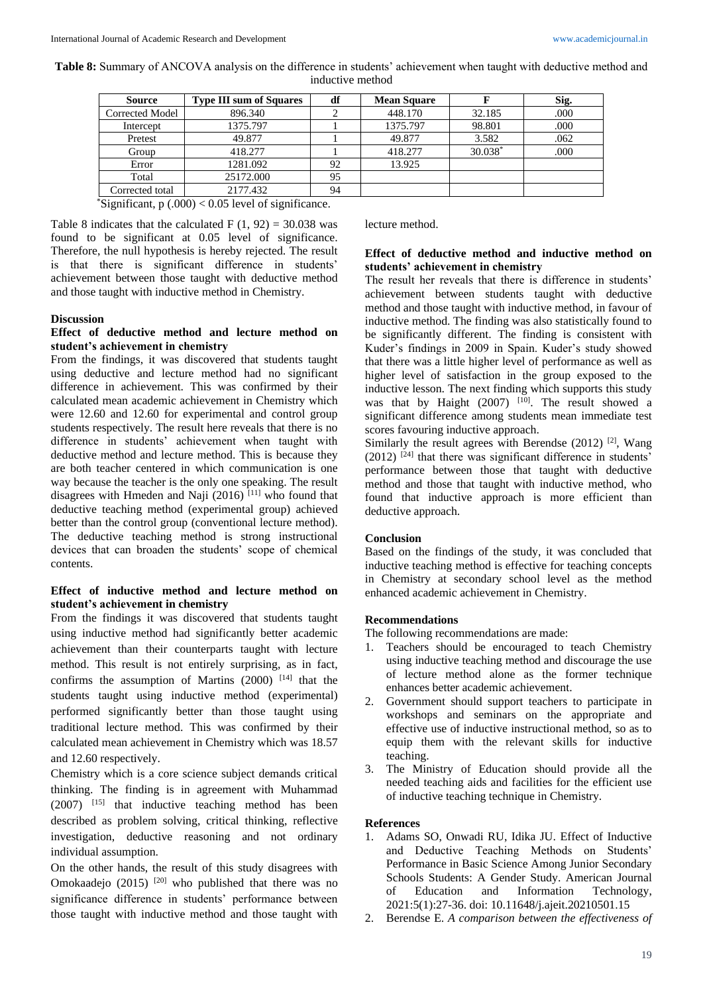| <b>Table 8:</b> Summary of ANCOVA analysis on the difference in students' achievement when taught with deductive method and |  |
|-----------------------------------------------------------------------------------------------------------------------------|--|
| inductive method                                                                                                            |  |

| Source          | <b>Type III sum of Squares</b> | df | <b>Mean Square</b> |           | Sig. |
|-----------------|--------------------------------|----|--------------------|-----------|------|
| Corrected Model | 896.340                        |    | 448.170            | 32.185    | .000 |
| Intercept       | 1375.797                       |    | 1375.797           | 98.801    | .000 |
| Pretest         | 49.877                         |    | 49.877             | 3.582     | .062 |
| Group           | 418.277                        |    | 418.277            | $30.038*$ | .000 |
| Error           | 1281.092                       | 92 | 13.925             |           |      |
| Total           | 25172.000                      | 95 |                    |           |      |
| Corrected total | 2177.432                       | 94 |                    |           |      |

\*Significant,  $p(.000) < 0.05$  level of significance.

Table 8 indicates that the calculated F  $(1, 92) = 30.038$  was found to be significant at 0.05 level of significance. Therefore, the null hypothesis is hereby rejected. The result is that there is significant difference in students' achievement between those taught with deductive method and those taught with inductive method in Chemistry.

# **Discussion**

# **Effect of deductive method and lecture method on student's achievement in chemistry**

From the findings, it was discovered that students taught using deductive and lecture method had no significant difference in achievement. This was confirmed by their calculated mean academic achievement in Chemistry which were 12.60 and 12.60 for experimental and control group students respectively. The result here reveals that there is no difference in students' achievement when taught with deductive method and lecture method. This is because they are both teacher centered in which communication is one way because the teacher is the only one speaking. The result disagrees with Hmeden and Naji  $(2016)$ <sup>[11]</sup> who found that deductive teaching method (experimental group) achieved better than the control group (conventional lecture method). The deductive teaching method is strong instructional devices that can broaden the students' scope of chemical contents.

# **Effect of inductive method and lecture method on student's achievement in chemistry**

From the findings it was discovered that students taught using inductive method had significantly better academic achievement than their counterparts taught with lecture method. This result is not entirely surprising, as in fact, confirms the assumption of Martins  $(2000)$ <sup>[14]</sup> that the students taught using inductive method (experimental) performed significantly better than those taught using traditional lecture method. This was confirmed by their calculated mean achievement in Chemistry which was 18.57 and 12.60 respectively.

Chemistry which is a core science subject demands critical thinking. The finding is in agreement with Muhammad (2007) [15] that inductive teaching method has been described as problem solving, critical thinking, reflective investigation, deductive reasoning and not ordinary individual assumption.

On the other hands, the result of this study disagrees with Omokaadejo (2015)  $[20]$  who published that there was no significance difference in students' performance between those taught with inductive method and those taught with lecture method.

# **Effect of deductive method and inductive method on students' achievement in chemistry**

The result her reveals that there is difference in students' achievement between students taught with deductive method and those taught with inductive method, in favour of inductive method. The finding was also statistically found to be significantly different. The finding is consistent with Kuder's findings in 2009 in Spain. Kuder's study showed that there was a little higher level of performance as well as higher level of satisfaction in the group exposed to the inductive lesson. The next finding which supports this study was that by Haight  $(2007)$  <sup>[10]</sup>. The result showed a significant difference among students mean immediate test scores favouring inductive approach.

Similarly the result agrees with Berendse  $(2012)$  <sup>[2]</sup>, Wang  $(2012)$ <sup>[24]</sup> that there was significant difference in students' performance between those that taught with deductive method and those that taught with inductive method, who found that inductive approach is more efficient than deductive approach.

#### **Conclusion**

Based on the findings of the study, it was concluded that inductive teaching method is effective for teaching concepts in Chemistry at secondary school level as the method enhanced academic achievement in Chemistry.

# **Recommendations**

The following recommendations are made:

- 1. Teachers should be encouraged to teach Chemistry using inductive teaching method and discourage the use of lecture method alone as the former technique enhances better academic achievement.
- 2. Government should support teachers to participate in workshops and seminars on the appropriate and effective use of inductive instructional method, so as to equip them with the relevant skills for inductive teaching.
- 3. The Ministry of Education should provide all the needed teaching aids and facilities for the efficient use of inductive teaching technique in Chemistry.

#### **References**

- 1. Adams SO, Onwadi RU, Idika JU. Effect of Inductive and Deductive Teaching Methods on Students' Performance in Basic Science Among Junior Secondary Schools Students: A Gender Study. American Journal of Education and Information Technology, 2021:5(1):27-36. doi: 10.11648/j.ajeit.20210501.15
- 2. Berendse E. *A comparison between the effectiveness of*